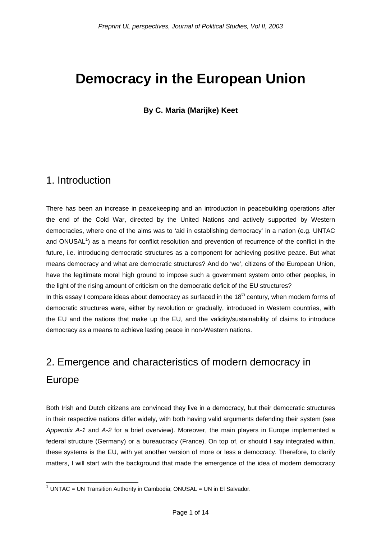# **Democracy in the European Union**

### **By C. Maria (Marijke) Keet**

### 1. Introduction

There has been an increase in peacekeeping and an introduction in peacebuilding operations after the end of the Cold War, directed by the United Nations and actively supported by Western democracies, where one of the aims was to 'aid in establishing democracy' in a nation (e.g. UNTAC and ONUSAL<sup>[1](#page-0-0)</sup>) as a means for conflict resolution and prevention of recurrence of the conflict in the future, i.e. introducing democratic structures as a component for achieving positive peace. But what means democracy and what are democratic structures? And do 'we', citizens of the European Union, have the legitimate moral high ground to impose such a government system onto other peoples, in the light of the rising amount of criticism on the democratic deficit of the EU structures? In this essay I compare ideas about democracy as surfaced in the  $18<sup>th</sup>$  century, when modern forms of democratic structures were, either by revolution or gradually, introduced in Western countries, with the EU and the nations that make up the EU, and the validity/sustainability of claims to introduce democracy as a means to achieve lasting peace in non-Western nations.

# 2. Emergence and characteristics of modern democracy in Europe

Both Irish and Dutch citizens are convinced they live in a democracy, but their democratic structures in their respective nations differ widely, with both having valid arguments defending their system (see *Appendix A-1* and *A-2* for a brief overview). Moreover, the main players in Europe implemented a federal structure (Germany) or a bureaucracy (France). On top of, or should I say integrated within, these systems is the EU, with yet another version of more or less a democracy. Therefore, to clarify matters, I will start with the background that made the emergence of the idea of modern democracy

<span id="page-0-0"></span> $1$  UNTAC = UN Transition Authority in Cambodia; ONUSAL = UN in El Salvador.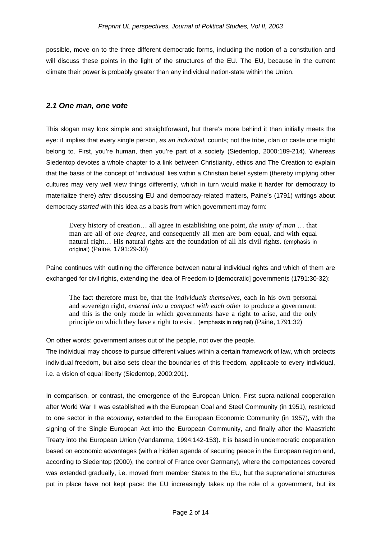possible, move on to the three different democratic forms, including the notion of a constitution and will discuss these points in the light of the structures of the EU. The EU, because in the current climate their power is probably greater than any individual nation-state within the Union.

#### *2.1 One man, one vote*

This slogan may look simple and straightforward, but there's more behind it than initially meets the eye: it implies that every single person, *as an individual*, counts; not the tribe, clan or caste one might belong to. First, you're human, then you're part of a society (Siedentop, 2000:189-214). Whereas Siedentop devotes a whole chapter to a link between Christianity, ethics and The Creation to explain that the basis of the concept of 'individual' lies within a Christian belief system (thereby implying other cultures may very well view things differently, which in turn would make it harder for democracy to materialize there) *after* discussing EU and democracy-related matters, Paine's (1791) writings about democracy *started* with this idea as a basis from which government may form:

Every history of creation… all agree in establishing one point, *the unity of man* … that man are all of *one degree*, and consequently all men are born equal, and with equal natural right… His natural rights are the foundation of all his civil rights. (emphasis in original) (Paine, 1791:29-30)

Paine continues with outlining the difference between natural individual rights and which of them are exchanged for civil rights, extending the idea of Freedom to [democratic] governments (1791:30-32):

The fact therefore must be, that the *individuals themselves*, each in his own personal and sovereign right, *entered into a compact with each other* to produce a government: and this is the only mode in which governments have a right to arise, and the only principle on which they have a right to exist. (emphasis in original) (Paine, 1791:32)

On other words: government arises out of the people, not over the people.

The individual may choose to pursue different values within a certain framework of law, which protects individual freedom, but also sets clear the boundaries of this freedom, applicable to every individual, i.e. a vision of equal liberty (Siedentop, 2000:201).

In comparison, or contrast, the emergence of the European Union. First supra-national cooperation after World War II was established with the European Coal and Steel Community (in 1951), restricted to one sector in the *economy*, extended to the European Economic Community (in 1957), with the signing of the Single European Act into the European Community, and finally after the Maastricht Treaty into the European Union (Vandamme, 1994:142-153). It is based in undemocratic cooperation based on economic advantages (with a hidden agenda of securing peace in the European region and, according to Siedentop (2000), the control of France over Germany), where the competences covered was extended gradually, i.e. moved from member States to the EU, but the supranational structures put in place have not kept pace: the EU increasingly takes up the role of a government, but its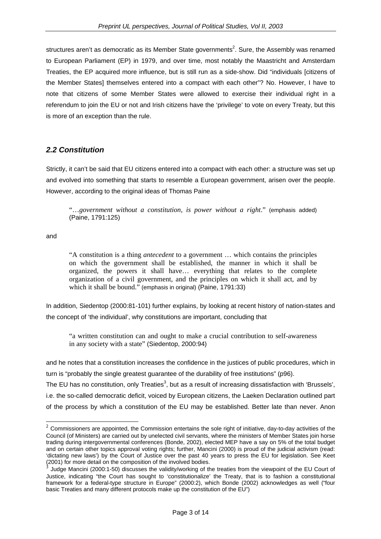structures aren't as democratic as its Member State governments<sup>2</sup>. Sure, the Assembly was renamed to European Parliament (EP) in 1979, and over time, most notably the Maastricht and Amsterdam Treaties, the EP acquired more influence, but is still run as a side-show. Did "individuals [citizens of the Member States] themselves entered into a compact with each other"? No. However, I have to note that citizens of some Member States were allowed to exercise their individual right in a referendum to join the EU or not and Irish citizens have the 'privilege' to vote on every Treaty, but this is more of an exception than the rule.

#### *2.2 Constitution*

Strictly, it can't be said that EU citizens entered into a compact with each other: a structure was set up and evolved into something that starts to resemble a European government, arisen over the people. However, according to the original ideas of Thomas Paine

"…*government without a constitution, is power without a right*." (emphasis added) (Paine, 1791:125)

and

"A constitution is a thing *antecedent* to a government … which contains the principles on which the government shall be established, the manner in which it shall be organized, the powers it shall have… everything that relates to the complete organization of a civil government, and the principles on which it shall act, and by which it shall be bound." (emphasis in original) (Paine, 1791:33)

In addition, Siedentop (2000:81-101) further explains, by looking at recent history of nation-states and the concept of 'the individual', why constitutions are important, concluding that

"a written constitution can and ought to make a crucial contribution to self-awareness in any society with a state" (Siedentop, 2000:94)

and he notes that a constitution increases the confidence in the justices of public procedures, which in turn is "probably the single greatest guarantee of the durability of free institutions" (p96). The EU has no constitution, only Treaties<sup>[3](#page-2-1)</sup>, but as a result of increasing dissatisfaction with 'Brussels', i.e. the so-called democratic deficit, voiced by European citizens, the Laeken Declaration outlined part of the process by which a constitution of the EU may be established. Better late than never. Anon

<span id="page-2-0"></span> $2$  Commissioners are appointed, the Commission entertains the sole right of initiative, day-to-day activities of the Council (of Ministers) are carried out by unelected civil servants, where the ministers of Member States join horse trading during intergovernmental conferences (Bonde, 2002), elected MEP have a say on 5% of the total budget and on certain other topics approval voting rights; further, Mancini (2000) is proud of the judicial activism (read: 'dictating new laws') by the Court of Justice over the past 40 years to press the EU for legislation. See Keet (2001) for more detail on the composition of the involved bodies.

<span id="page-2-1"></span><sup>3</sup> Judge Mancini (2000:1-50) discusses the validity/working of the treaties from the viewpoint of the EU Court of Justice, indicating "the Court has sought to 'constitutionalize' the Treaty, that is to fashion a constitutional framework for a federal-type structure in Europe" (2000:2), which Bonde (2002) acknowledges as well ("four basic Treaties and many different protocols make up the constitution of the EU")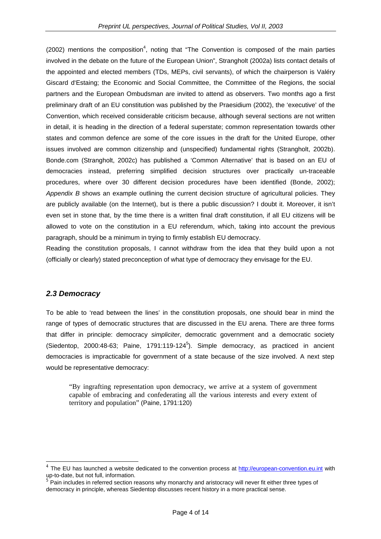(2002) mentions the composition<sup>[4](#page-3-0)</sup>, noting that "The Convention is composed of the main parties involved in the debate on the future of the European Union", Strangholt (2002a) lists contact details of the appointed and elected members (TDs, MEPs, civil servants), of which the chairperson is Valéry Giscard d'Estaing; the Economic and Social Committee, the Committee of the Regions, the social partners and the European Ombudsman are invited to attend as observers. Two months ago a first preliminary draft of an EU constitution was published by the Praesidium (2002), the 'executive' of the Convention, which received considerable criticism because, although several sections are not written in detail, it is heading in the direction of a federal superstate; common representation towards other states and common defence are some of the core issues in the draft for the United Europe, other issues involved are common citizenship and (unspecified) fundamental rights (Strangholt, 2002b). Bonde.com (Strangholt, 2002c) has published a 'Common Alternative' that is based on an EU of democracies instead, preferring simplified decision structures over practically un-traceable procedures, where over 30 different decision procedures have been identified (Bonde, 2002); *Appendix B* shows an example outlining the current decision structure of agricultural policies. They are publicly available (on the Internet), but is there a public discussion? I doubt it. Moreover, it isn't even set in stone that, by the time there is a written final draft constitution, if all EU citizens will be allowed to vote on the constitution in a EU referendum, which, taking into account the previous paragraph, should be a minimum in trying to firmly establish EU democracy.

Reading the constitution proposals, I cannot withdraw from the idea that they build upon a not (officially or clearly) stated preconception of what type of democracy they envisage for the EU.

#### *2.3 Democracy*

To be able to 'read between the lines' in the constitution proposals, one should bear in mind the range of types of democratic structures that are discussed in the EU arena. There are three forms that differ in principle: democracy *simpliciter*, democratic government and a democratic society (Siedentop, 2000:48-63; Paine, 1791:119-124 $5$ ). Simple democracy, as practiced in ancient democracies is impracticable for government of a state because of the size involved. A next step would be representative democracy:

"By ingrafting representation upon democracy, we arrive at a system of government capable of embracing and confederating all the various interests and every extent of territory and population" (Paine, 1791:120)

<span id="page-3-0"></span><sup>&</sup>lt;sup>4</sup> The EU has launched a website dedicated to the convention process at  $\frac{http://european-convention.eu.int}{http://european-convention.eu.int}$  $\frac{http://european-convention.eu.int}{http://european-convention.eu.int}$  $\frac{http://european-convention.eu.int}{http://european-convention.eu.int}$  with up-to-date, but not full, information.

<span id="page-3-1"></span> $\overline{\text{P}}$  Pain includes in referred section reasons why monarchy and aristocracy will never fit either three types of democracy in principle, whereas Siedentop discusses recent history in a more practical sense.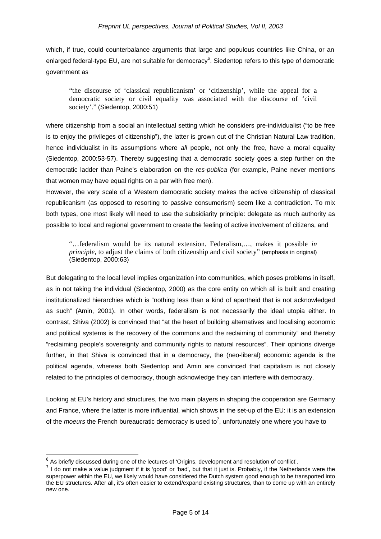which, if true, could counterbalance arguments that large and populous countries like China, or an enlarged federal-type EU, are not suitable for democracy<sup>[6](#page-4-0)</sup>. Siedentop refers to this type of democratic government as

"the discourse of 'classical republicanism' or 'citizenship', while the appeal for a democratic society or civil equality was associated with the discourse of 'civil society'." (Siedentop, 2000:51)

where citizenship from a social an intellectual setting which he considers pre-individualist ("to be free is to enjoy the privileges of citizenship"), the latter is grown out of the Christian Natural Law tradition, hence individualist in its assumptions where *all* people, not only the free, have a moral equality (Siedentop, 2000:53-57). Thereby suggesting that a democratic society goes a step further on the democratic ladder than Paine's elaboration on the *res-publica* (for example, Paine never mentions that women may have equal rights on a par with free men).

However, the very scale of a Western democratic society makes the active citizenship of classical republicanism (as opposed to resorting to passive consumerism) seem like a contradiction. To mix both types, one most likely will need to use the subsidiarity principle: delegate as much authority as possible to local and regional government to create the feeling of active involvement of citizens, and

"…federalism would be its natural extension. Federalism,…, makes it possible *in principle*, to adjust the claims of both citizenship and civil society" (emphasis in original) (Siedentop, 2000:63)

But delegating to the local level implies organization into communities, which poses problems in itself, as in not taking the individual (Siedentop, 2000) as the core entity on which all is built and creating institutionalized hierarchies which is "nothing less than a kind of apartheid that is not acknowledged as such" (Amin, 2001). In other words, federalism is not necessarily the ideal utopia either. In contrast, Shiva (2002) is convinced that "at the heart of building alternatives and localising economic and political systems is the recovery of the commons and the reclaiming of community" and thereby "reclaiming people's sovereignty and community rights to natural resources". Their opinions diverge further, in that Shiva is convinced that in a democracy, the (neo-liberal) economic agenda is the political agenda, whereas both Siedentop and Amin are convinced that capitalism is not closely related to the principles of democracy, though acknowledge they can interfere with democracy.

Looking at EU's history and structures, the two main players in shaping the cooperation are Germany and France, where the latter is more influential, which shows in the set-up of the EU: it is an extension of the *moeurs* the French bureaucratic democracy is used to<sup>7</sup>[,](#page-4-1) unfortunately one where you have to

<span id="page-4-0"></span> $<sup>6</sup>$  As briefly discussed during one of the lectures of 'Origins, development and resolution of conflict'.</sup>

<span id="page-4-1"></span> $<sup>7</sup>$  I do not make a value judgment if it is 'good' or 'bad', but that it just is. Probably, if the Netherlands were the</sup> superpower within the EU, we likely would have considered the Dutch system good enough to be transported into the EU structures. After all, it's often easier to extend/expand existing structures, than to come up with an entirely new one.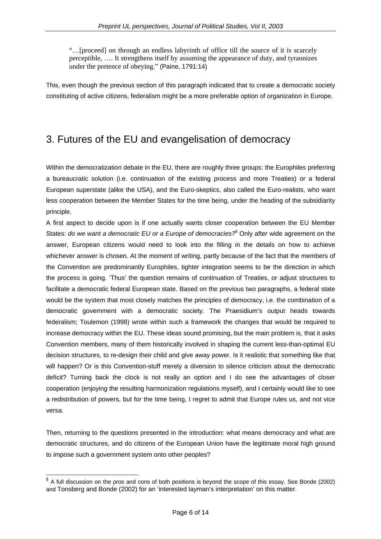"…[proceed] on through an endless labyrinth of office till the source of it is scarcely perceptible, …. It strengthens itself by assuming the appearance of duty, and tyrannizes under the pretence of obeying." (Paine, 1791:14)

This, even though the previous section of this paragraph indicated that to create a democratic society constituting of active citizens, federalism might be a more preferable option of organization in Europe.

## 3. Futures of the EU and evangelisation of democracy

Within the democratization debate in the EU, there are roughly three groups: the Europhiles preferring a bureaucratic solution (i.e. continuation of the existing process and more Treaties) or a federal European superstate (alike the USA), and the Euro-skeptics, also called the Euro-realists, who want less cooperation between the Member States for the time being, under the heading of the subsidiarity principle.

A first aspect to decide upon is if one actually wants closer cooperation between the EU Member States: *do we want a democratic EU or a Europe of democracies?*[8](#page-5-0) Only after wide agreement on the answer, European citizens would need to look into the filling in the details on how to achieve whichever answer is chosen. At the moment of writing, partly because of the fact that the members of the Convention are predominantly Europhiles, tighter integration seems to be the direction in which the process is going. 'Thus' the question remains of continuation of Treaties, or adjust structures to facilitate a democratic federal European state. Based on the previous two paragraphs, a federal state would be the system that most closely matches the principles of democracy, i.e. the combination of a democratic government with a democratic society. The Praesidium's output heads towards federalism; Toulemon (1998) wrote within such a framework the changes that would be required to increase democracy within the EU. These ideas sound promising, but the main problem is, that it asks Convention members, many of them historically involved in shaping the current less-than-optimal EU decision structures, to re-design their child and give away power. Is it realistic that something like that will happen? Or is this Convention-stuff merely a diversion to silence criticism about the democratic deficit? Turning back the clock is not really an option and I do see the advantages of closer cooperation (enjoying the resulting harmonization regulations myself), and I certainly would like to see a redistribution of powers, but for the time being, I regret to admit that Europe rules us, and not vice versa.

Then, returning to the questions presented in the introduction: what means democracy and what are democratic structures, and do citizens of the European Union have the legitimate moral high ground to impose such a government system onto other peoples?

<span id="page-5-0"></span> $8$  A full discussion on the pros and cons of both positions is beyond the scope of this essay. See Bonde (2002) and Tonsberg and Bonde (2002) for an 'interested layman's interpretation' on this matter.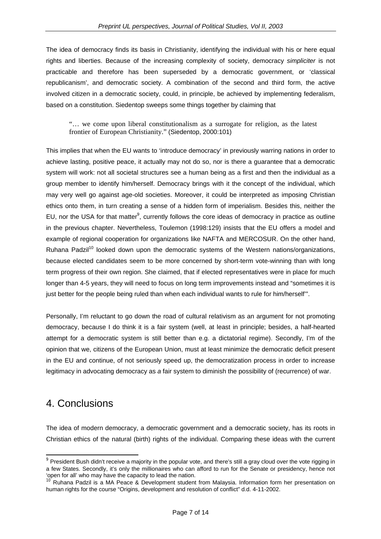The idea of democracy finds its basis in Christianity, identifying the individual with his or here equal rights and liberties. Because of the increasing complexity of society, democracy *simpliciter* is not practicable and therefore has been superseded by a democratic government, or 'classical republicanism', and democratic society. A combination of the second and third form, the active involved citizen in a democratic society, could, in principle, be achieved by implementing federalism, based on a constitution. Siedentop sweeps some things together by claiming that

"… we come upon liberal constitutionalism as a surrogate for religion, as the latest frontier of European Christianity." (Siedentop, 2000:101)

This implies that when the EU wants to 'introduce democracy' in previously warring nations in order to achieve lasting, positive peace, it actually may not do so, nor is there a guarantee that a democratic system will work: not all societal structures see a human being as a first and then the individual as a group member to identify him/herself. Democracy brings with it the concept of the individual, which may very well go against age-old societies. Moreover, it could be interpreted as imposing Christian ethics onto them, in turn creating a sense of a hidden form of imperialism. Besides this, neither the EU, nor the USA for that matter $9$ , currently follows the core ideas of democracy in practice as outline in the previous chapter. Nevertheless, Toulemon (1998:129) insists that the EU offers a model and example of regional cooperation for organizations like NAFTA and MERCOSUR. On the other hand, Ruhana Padzi $10$  looked down upon the democratic systems of the Western nations/organizations, because elected candidates seem to be more concerned by short-term vote-winning than with long term progress of their own region. She claimed, that if elected representatives were in place for much longer than 4-5 years, they will need to focus on long term improvements instead and "sometimes it is just better for the people being ruled than when each individual wants to rule for him/herself'".

Personally, I'm reluctant to go down the road of cultural relativism as an argument for not promoting democracy, because I do think it is a fair system (well, at least in principle; besides, a half-hearted attempt for a democratic system is still better than e.g. a dictatorial regime). Secondly, I'm of the opinion that we, citizens of the European Union, must at least minimize the democratic deficit present in the EU and continue, of not seriously speed up, the democratization process in order to increase legitimacy in advocating democracy as *a* fair system to diminish the possibility of (recurrence) of war.

### 4. Conclusions

The idea of modern democracy, a democratic government and a democratic society, has its roots in Christian ethics of the natural (birth) rights of the individual. Comparing these ideas with the current

<span id="page-6-0"></span> $9$  President Bush didn't receive a majority in the popular vote, and there's still a gray cloud over the vote rigging in a few States. Secondly, it's only the millionaires who can afford to run for the Senate or presidency, hence not 'open for all' who may have the capacity to lead the nation.

<span id="page-6-1"></span>Ruhana Padzil is a MA Peace & Development student from Malaysia. Information form her presentation on human rights for the course "Origins, development and resolution of conflict" d.d. 4-11-2002.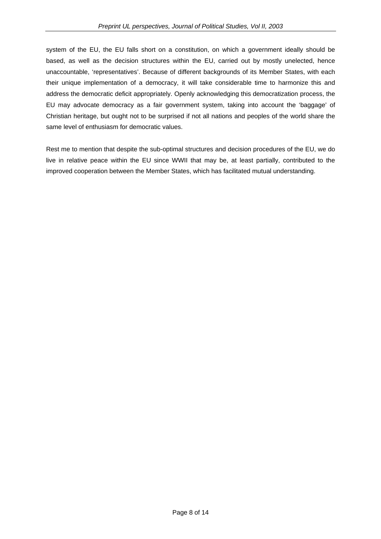system of the EU, the EU falls short on a constitution, on which a government ideally should be based, as well as the decision structures within the EU, carried out by mostly unelected, hence unaccountable, 'representatives'. Because of different backgrounds of its Member States, with each their unique implementation of a democracy, it will take considerable time to harmonize this and address the democratic deficit appropriately. Openly acknowledging this democratization process, the EU may advocate democracy as a fair government system, taking into account the 'baggage' of Christian heritage, but ought not to be surprised if not all nations and peoples of the world share the same level of enthusiasm for democratic values.

Rest me to mention that despite the sub-optimal structures and decision procedures of the EU, we do live in relative peace within the EU since WWII that may be, at least partially, contributed to the improved cooperation between the Member States, which has facilitated mutual understanding.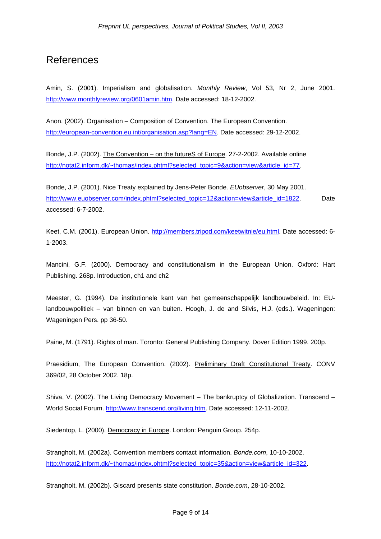### References

Amin, S. (2001). Imperialism and globalisation. *Monthly Review*, Vol 53, Nr 2, June 2001. [http://www.monthlyreview.org/0601amin.htm.](http://www.monthlyreview.org/0601amin.htm) Date accessed: 18-12-2002.

Anon. (2002). Organisation – Composition of Convention. The European Convention. [http://european-convention.eu.int/organisation.asp?lang=EN.](http://european-convention.eu.int/organisation.asp?lang=EN) Date accessed: 29-12-2002.

Bonde, J.P. (2002). The Convention – on the futureS of Europe. 27-2-2002. Available online [http://notat2.inform.dk/~thomas/index.phtml?selected\\_topic=9&action=view&article\\_id=77.](http://notat2.inform.dk/~thomas/index.phtml?selected_topic=9&action=view&article_id=77)

Bonde, J.P. (2001). Nice Treaty explained by Jens-Peter Bonde. *EUobserver*, 30 May 2001. [http://www.euobserver.com/index.phtml?selected\\_topic=12&action=view&article\\_id=1822.](http://www.euobserver.com/index.phtml?selected_topic=12&action=view&article_id=1822) Date accessed: 6-7-2002.

Keet, C.M. (2001). European Union. [http://members.tripod.com/keetwitnie/eu.html.](http://members.tripod.com/keetwitnie/eu.html) Date accessed: 6- 1-2003.

Mancini, G.F. (2000). Democracy and constitutionalism in the European Union. Oxford: Hart Publishing. 268p. Introduction, ch1 and ch2

Meester, G. (1994). De institutionele kant van het gemeenschappelijk landbouwbeleid. In: EUlandbouwpolitiek – van binnen en van buiten. Hoogh, J. de and Silvis, H.J. (eds.). Wageningen: Wageningen Pers. pp 36-50.

Paine, M. (1791). Rights of man. Toronto: General Publishing Company. Dover Edition 1999. 200p.

Praesidium, The European Convention. (2002). Preliminary Draft Constitutional Treaty. CONV 369/02, 28 October 2002. 18p.

Shiva, V. (2002). The Living Democracy Movement – The bankruptcy of Globalization. Transcend – World Social Forum.<http://www.transcend.org/living.htm>. Date accessed: 12-11-2002.

Siedentop, L. (2000). Democracy in Europe. London: Penguin Group. 254p.

Strangholt, M. (2002a). Convention members contact information. *Bonde.com*, 10-10-2002. [http://notat2.inform.dk/~thomas/index.phtml?selected\\_topic=35&action=view&article\\_id=322.](http://notat2.inform.dk/~thomas/index.phtml?selected_topic=35&action=view&article_id=322)

Strangholt, M. (2002b). Giscard presents state constitution. *Bonde.com*, 28-10-2002.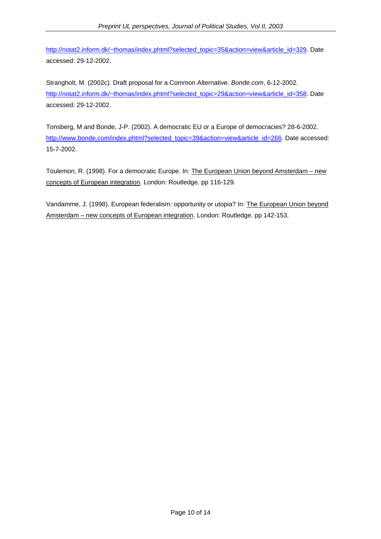[http://notat2.inform.dk/~thomas/index.phtml?selected\\_topic=35&action=view&article\\_id=329.](http://notat2.inform.dk/~thomas/index.phtml?selected_topic=35&action=view&article_id=329) Date accessed: 29-12-2002.

Strangholt, M. (2002c). Draft proposal for a Common Alternative. *Bonde.com*, 6-12-2002. [http://notat2.inform.dk/~thomas/index.phtml?selected\\_topic=29&action=view&article\\_id=358.](http://notat2.inform.dk/~thomas/index.phtml?selected_topic=29&action=view&article_id=358) Date accessed: 29-12-2002.

Tonsberg, M and Bonde, J-P. (2002). A democratic EU or a Europe of democracies? 28-6-2002. [http://www.bonde.com/index.phtml?selected\\_topic=39&action=view&article\\_id=266.](http://www.bonde.com/index.phtml?selected_topic=39&action=view&article_id=266) Date accessed: 15-7-2002.

Toulemon, R. (1998). For a democratic Europe. In: The European Union beyond Amsterdam – new concepts of European integration. London: Routledge. pp 116-129.

Vandamme, J. (1998). European federalism: opportunity or utopia? In: The European Union beyond Amsterdam – new concepts of European integration. London: Routledge. pp 142-153.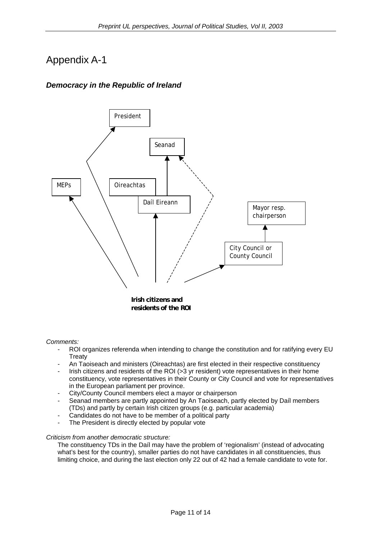## Appendix A-1

### *Democracy in the Republic of Ireland*



*Comments:* 

- ROI organizes referenda when intending to change the constitution and for ratifying every EU **Treaty**
- An Taoiseach and ministers (Oireachtas) are first elected in their respective constituency
- Irish citizens and residents of the ROI (>3 yr resident) vote representatives in their home constituency, vote representatives in their County or City Council and vote for representatives in the European parliament per province.
- City/County Council members elect a mayor or chairperson
- Seanad members are partly appointed by An Taoiseach, partly elected by Daíl members (TDs) and partly by certain Irish citizen groups (e.g. particular academia)
- Candidates do not have to be member of a political party
- The President is directly elected by popular vote

#### *Criticism from another democratic structure:*

The constituency TDs in the Daíl may have the problem of 'regionalism' (instead of advocating what's best for the country), smaller parties do not have candidates in all constituencies, thus limiting choice, and during the last election only 22 out of 42 had a female candidate to vote for.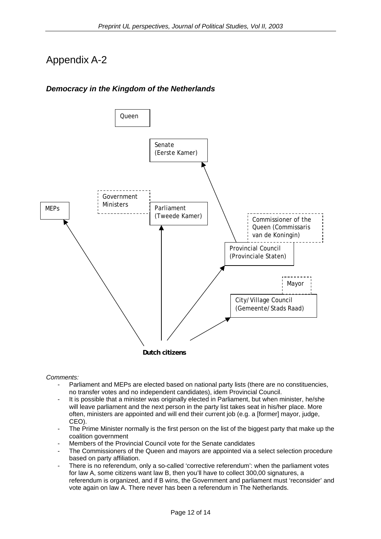# Appendix A-2

### *Democracy in the Kingdom of the Netherlands*



#### *Comments:*

- Parliament and MEPs are elected based on national party lists (there are no constituencies, no transfer votes and no independent candidates), idem Provincial Council.
- It is possible that a minister was originally elected in Parliament, but when minister, he/she will leave parliament and the next person in the party list takes seat in his/her place. More often, ministers are appointed and will end their current job (e.g. a [former] mayor, judge, CEO).
- The Prime Minister normally is the first person on the list of the biggest party that make up the coalition government
- Members of the Provincial Council vote for the Senate candidates
- The Commissioners of the Queen and mayors are appointed via a select selection procedure based on party affiliation.
- There is no referendum, only a so-called 'corrective referendum': when the parliament votes for law A, some citizens want law B, then you'll have to collect 300,00 signatures, a referendum is organized, and if B wins, the Government and parliament must 'reconsider' and vote again on law A. There never has been a referendum in The Netherlands.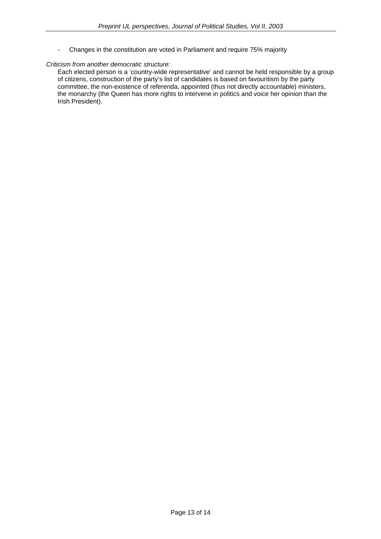- Changes in the constitution are voted in Parliament and require 75% majority

#### *Criticism from another democratic structure:*

Each elected person is a 'country-wide representative' and cannot be held responsible by a group of citizens, construction of the party's list of candidates is based on favouritism by the party committee, the non-existence of referenda, appointed (thus not directly accountable) ministers, the monarchy (the Queen has more rights to intervene in politics and voice her opinion than the Irish President).